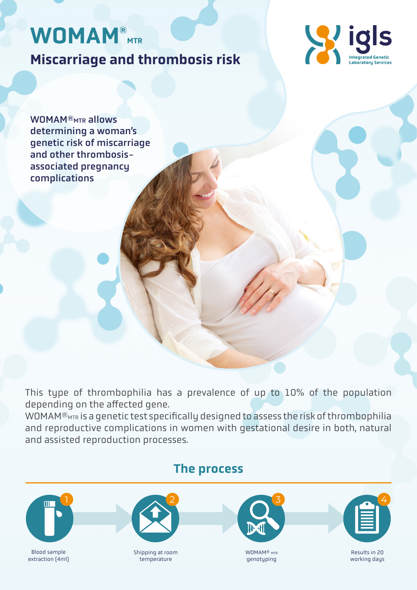# WOMAM<sup>®</sup>MTR

Miscarriage and thrombosis risk



WOMAM<sup>®</sup>MTR allows determining a woman's genetic risk of miscarriage and other thrombosisassociated pregnancy complications

This type of thrombophilia has a prevalence of up to 10% of the population depending on the affected gene.

WOMAM® $\overline{\text{MTR}}$  is a genetic test specifically designed to assess the risk of thrombophilia and reproductive complications in women with gestational desire in both, natural and assisted reproduction processes.

#### The process 2 4 Blood sample extraction (4ml) Shipping at room temperature WOMAM<sup>®</sup> MTR genotyping Results in 20 working days 1 3